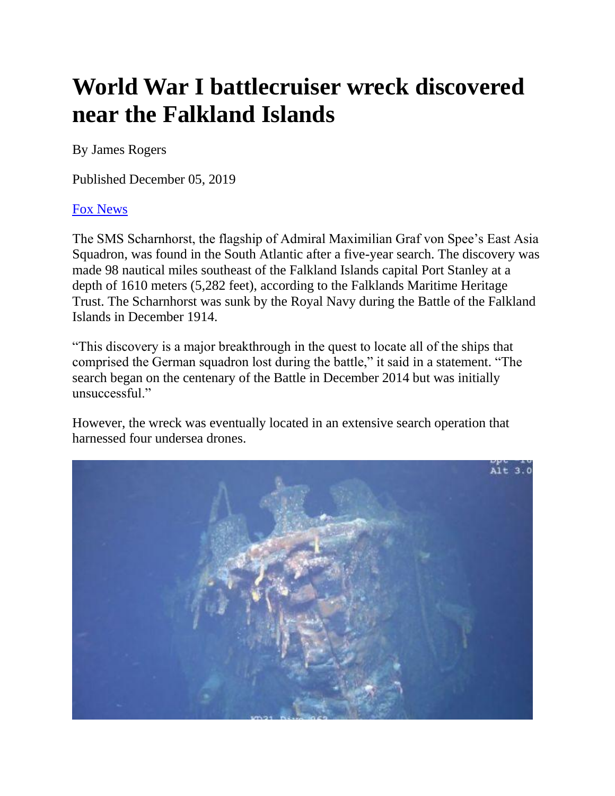## **World War I battlecruiser wreck discovered near the Falkland Islands**

By James Rogers

Published December 05, 2019

## [Fox News](http://www.foxnews.com/)

The SMS Scharnhorst, the flagship of Admiral Maximilian Graf von Spee's East Asia Squadron, was found in the South Atlantic after a five-year search. The discovery was made 98 nautical miles southeast of the Falkland Islands capital Port Stanley at a depth of 1610 meters (5,282 feet), according to the Falklands Maritime Heritage Trust. The Scharnhorst was sunk by the Royal Navy during the Battle of the Falkland Islands in December 1914.

"This discovery is a major breakthrough in the quest to locate all of the ships that comprised the German squadron lost during the battle," it said in a statement. "The search began on the centenary of the Battle in December 2014 but was initially unsuccessful."

However, the wreck was eventually located in an extensive search operation that harnessed four undersea drones.